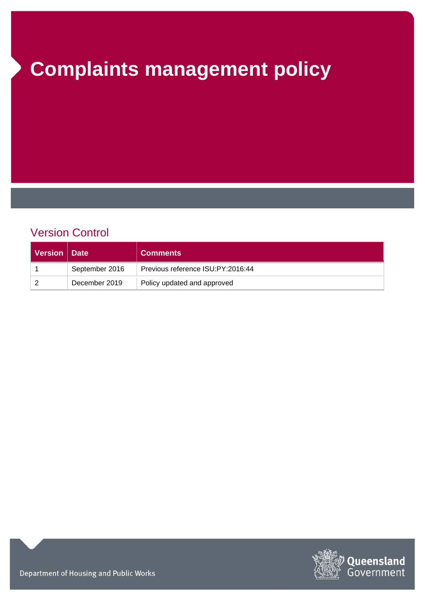# **Complaints management policy**

# Version Control

| Version   Date |                | <b>Comments</b>                   |
|----------------|----------------|-----------------------------------|
|                | September 2016 | Previous reference ISU:PY:2016:44 |
|                | December 2019  | Policy updated and approved       |



Department of Housing and Public Works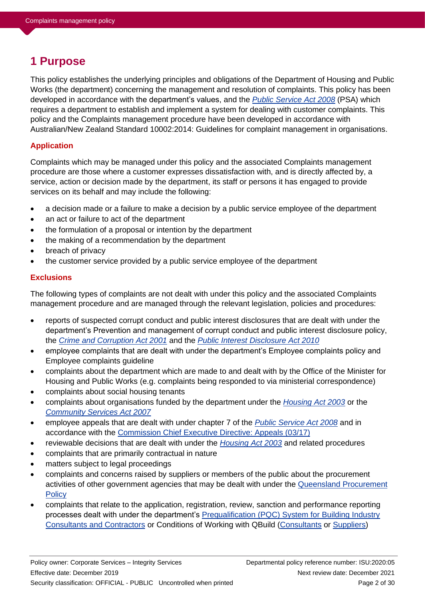# **1 Purpose**

This policy establishes the underlying principles and obligations of the Department of Housing and Public Works (the department) concerning the management and resolution of complaints. This policy has been developed in accordance with the department's values, and the *[Public Service Act 2008](https://www.legislation.qld.gov.au/view/html/inforce/current/act-2008-038)* (PSA) which requires a department to establish and implement a system for dealing with customer complaints. This policy and the Complaints management procedure have been developed in accordance with Australian/New Zealand Standard 10002:2014: Guidelines for complaint management in organisations.

### **Application**

Complaints which may be managed under this policy and the associated Complaints management procedure are those where a customer expresses dissatisfaction with, and is directly affected by, a service, action or decision made by the department, its staff or persons it has engaged to provide services on its behalf and may include the following:

- a decision made or a failure to make a decision by a public service employee of the department
- an act or failure to act of the department
- the formulation of a proposal or intention by the department
- the making of a recommendation by the department
- breach of privacy
- the customer service provided by a public service employee of the department

### **Exclusions**

The following types of complaints are not dealt with under this policy and the associated Complaints management procedure and are managed through the relevant legislation, policies and procedures:

- reports of suspected corrupt conduct and public interest disclosures that are dealt with under the department's Prevention and management of corrupt conduct and public interest disclosure policy, the *[Crime and Corruption Act 2001](https://www.legislation.qld.gov.au/view/html/inforce/current/act-2001-069)* and the *[Public Interest Disclosure Act 2010](https://www.legislation.qld.gov.au/view/html/inforce/current/act-2010-038)*
- employee complaints that are dealt with under the department's Employee complaints policy and Employee complaints guideline
- complaints about the department which are made to and dealt with by the Office of the Minister for Housing and Public Works (e.g. complaints being responded to via ministerial correspondence)
- complaints about social housing tenants
- complaints about organisations funded by the department under the *[Housing Act 2003](https://www.legislation.qld.gov.au/view/html/inforce/current/act-2003-052)* or the *[Community Services Act 2007](https://www.legislation.qld.gov.au/view/html/inforce/current/act-2007-038)*
- employee appeals that are dealt with under chapter 7 of the *[Public Service Act 2008](https://www.legislation.qld.gov.au/view/html/inforce/current/act-2008-038)* and in accordance with the [Commission Chief Executive Directive: Appeals \(03/17\)](https://www.forgov.qld.gov.au/system/files/documents/appeals-directive-0317_1.pdf?v=1564469243)
- reviewable decisions that are dealt with under the *[Housing Act 2003](https://www.legislation.qld.gov.au/view/html/inforce/current/act-2003-052)* and related procedures
- complaints that are primarily contractual in nature
- matters subject to legal proceedings
- complaints and concerns raised by suppliers or members of the public about the procurement activities of other government agencies that may be dealt with under the [Queensland Procurement](https://www.hpw.qld.gov.au/__data/assets/pdf_file/0020/3377/qldprocurementpolicy.pdf)  **[Policy](https://www.hpw.qld.gov.au/__data/assets/pdf_file/0020/3377/qldprocurementpolicy.pdf)**
- complaints that relate to the application, registration, review, sanction and performance reporting processes dealt with under the department's [Prequalification \(PQC\) System for Building Industry](https://www.business.qld.gov.au/industries/building-property-development/building-construction/supply-queensland-government/prequalifying-major-projects)  [Consultants and Contractors](https://www.business.qld.gov.au/industries/building-property-development/building-construction/supply-queensland-government/prequalifying-major-projects) or Conditions of Working with QBuild [\(Consultants](https://www.hpw.qld.gov.au/__data/assets/pdf_file/0019/3790/wwqbconsultants_agr421.pdf) or [Suppliers\)](https://www.hpw.qld.gov.au/__data/assets/pdf_file/0021/3792/wwqbsuppliers_agr420.pdf)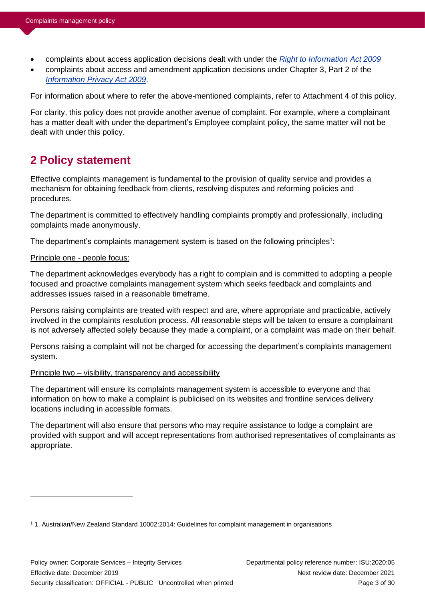- complaints about access application decisions dealt with under the *[Right to Information Act 2009](https://www.legislation.qld.gov.au/view/html/inforce/current/act-2009-013)*
- complaints about access and amendment application decisions under Chapter 3, Part 2 of the *[Information Privacy Act 2009](https://www.legislation.qld.gov.au/view/html/inforce/current/act-2009-014)*.

For information about where to refer the above-mentioned complaints, refer to Attachment 4 of this policy.

For clarity, this policy does not provide another avenue of complaint. For example, where a complainant has a matter dealt with under the department's Employee complaint policy, the same matter will not be dealt with under this policy.

# **2 Policy statement**

Effective complaints management is fundamental to the provision of quality service and provides a mechanism for obtaining feedback from clients, resolving disputes and reforming policies and procedures.

The department is committed to effectively handling complaints promptly and professionally, including complaints made anonymously.

The department's complaints management system is based on the following principles<sup>1</sup>:

### Principle one - people focus:

The department acknowledges everybody has a right to complain and is committed to adopting a people focused and proactive complaints management system which seeks feedback and complaints and addresses issues raised in a reasonable timeframe.

Persons raising complaints are treated with respect and are, where appropriate and practicable, actively involved in the complaints resolution process. All reasonable steps will be taken to ensure a complainant is not adversely affected solely because they made a complaint, or a complaint was made on their behalf.

Persons raising a complaint will not be charged for accessing the department's complaints management system.

#### Principle two – visibility, transparency and accessibility

The department will ensure its complaints management system is accessible to everyone and that information on how to make a complaint is publicised on its websites and frontline services delivery locations including in accessible formats.

The department will also ensure that persons who may require assistance to lodge a complaint are provided with support and will accept representations from authorised representatives of complainants as appropriate.

<sup>1</sup> 1. Australian/New Zealand Standard 10002:2014: Guidelines for complaint management in organisations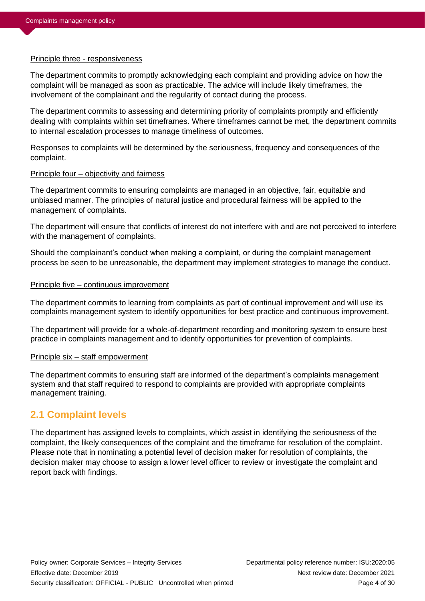#### Principle three - responsiveness

The department commits to promptly acknowledging each complaint and providing advice on how the complaint will be managed as soon as practicable. The advice will include likely timeframes, the involvement of the complainant and the regularity of contact during the process.

The department commits to assessing and determining priority of complaints promptly and efficiently dealing with complaints within set timeframes. Where timeframes cannot be met, the department commits to internal escalation processes to manage timeliness of outcomes.

Responses to complaints will be determined by the seriousness, frequency and consequences of the complaint.

### Principle four – objectivity and fairness

The department commits to ensuring complaints are managed in an objective, fair, equitable and unbiased manner. The principles of natural justice and procedural fairness will be applied to the management of complaints.

The department will ensure that conflicts of interest do not interfere with and are not perceived to interfere with the management of complaints.

Should the complainant's conduct when making a complaint, or during the complaint management process be seen to be unreasonable, the department may implement strategies to manage the conduct.

### Principle five – continuous improvement

The department commits to learning from complaints as part of continual improvement and will use its complaints management system to identify opportunities for best practice and continuous improvement.

The department will provide for a whole-of-department recording and monitoring system to ensure best practice in complaints management and to identify opportunities for prevention of complaints.

### Principle six – staff empowerment

The department commits to ensuring staff are informed of the department's complaints management system and that staff required to respond to complaints are provided with appropriate complaints management training.

## **2.1 Complaint levels**

The department has assigned levels to complaints, which assist in identifying the seriousness of the complaint, the likely consequences of the complaint and the timeframe for resolution of the complaint. Please note that in nominating a potential level of decision maker for resolution of complaints, the decision maker may choose to assign a lower level officer to review or investigate the complaint and report back with findings.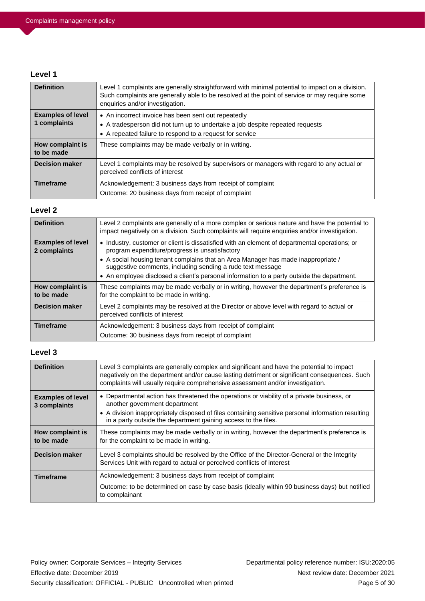#### **Level 1**

| <b>Definition</b>                        | Level 1 complaints are generally straightforward with minimal potential to impact on a division.<br>Such complaints are generally able to be resolved at the point of service or may require some<br>enquiries and/or investigation. |
|------------------------------------------|--------------------------------------------------------------------------------------------------------------------------------------------------------------------------------------------------------------------------------------|
| <b>Examples of level</b><br>1 complaints | • An incorrect invoice has been sent out repeatedly<br>• A tradesperson did not turn up to undertake a job despite repeated requests<br>• A repeated failure to respond to a request for service                                     |
| How complaint is<br>to be made           | These complaints may be made verbally or in writing.                                                                                                                                                                                 |
| <b>Decision maker</b>                    | Level 1 complaints may be resolved by supervisors or managers with regard to any actual or<br>perceived conflicts of interest                                                                                                        |
| <b>Timeframe</b>                         | Acknowledgement: 3 business days from receipt of complaint<br>Outcome: 20 business days from receipt of complaint                                                                                                                    |

### **Level 2**

| <b>Definition</b>                        | Level 2 complaints are generally of a more complex or serious nature and have the potential to<br>impact negatively on a division. Such complaints will require enquiries and/or investigation. |  |  |  |
|------------------------------------------|-------------------------------------------------------------------------------------------------------------------------------------------------------------------------------------------------|--|--|--|
| <b>Examples of level</b><br>2 complaints | • Industry, customer or client is dissatisfied with an element of departmental operations; or<br>program expenditure/progress is unsatisfactory                                                 |  |  |  |
|                                          | • A social housing tenant complains that an Area Manager has made inappropriate /<br>suggestive comments, including sending a rude text message                                                 |  |  |  |
|                                          | • An employee disclosed a client's personal information to a party outside the department.                                                                                                      |  |  |  |
| How complaint is<br>to be made           | These complaints may be made verbally or in writing, however the department's preference is<br>for the complaint to be made in writing.                                                         |  |  |  |
| <b>Decision maker</b>                    | Level 2 complaints may be resolved at the Director or above level with regard to actual or<br>perceived conflicts of interest                                                                   |  |  |  |
| <b>Timeframe</b>                         | Acknowledgement: 3 business days from receipt of complaint<br>Outcome: 30 business days from receipt of complaint                                                                               |  |  |  |

### **Level 3**

| <b>Definition</b>                        | Level 3 complaints are generally complex and significant and have the potential to impact<br>negatively on the department and/or cause lasting detriment or significant consequences. Such<br>complaints will usually require comprehensive assessment and/or investigation.                        |
|------------------------------------------|-----------------------------------------------------------------------------------------------------------------------------------------------------------------------------------------------------------------------------------------------------------------------------------------------------|
| <b>Examples of level</b><br>3 complaints | • Departmental action has threatened the operations or viability of a private business, or<br>another government department<br>• A division inappropriately disposed of files containing sensitive personal information resulting<br>in a party outside the department gaining access to the files. |
| How complaint is<br>to be made           | These complaints may be made verbally or in writing, however the department's preference is<br>for the complaint to be made in writing.                                                                                                                                                             |
| <b>Decision maker</b>                    | Level 3 complaints should be resolved by the Office of the Director-General or the Integrity<br>Services Unit with regard to actual or perceived conflicts of interest                                                                                                                              |
| <b>Timeframe</b>                         | Acknowledgement: 3 business days from receipt of complaint<br>Outcome: to be determined on case by case basis (ideally within 90 business days) but notified<br>to complainant                                                                                                                      |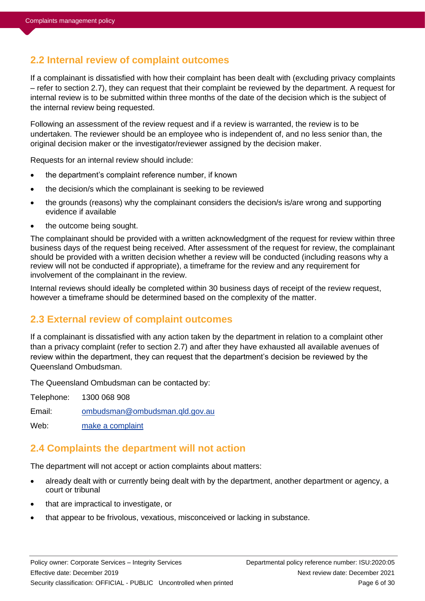### **2.2 Internal review of complaint outcomes**

If a complainant is dissatisfied with how their complaint has been dealt with (excluding privacy complaints – refer to section 2.7), they can request that their complaint be reviewed by the department. A request for internal review is to be submitted within three months of the date of the decision which is the subject of the internal review being requested.

Following an assessment of the review request and if a review is warranted, the review is to be undertaken. The reviewer should be an employee who is independent of, and no less senior than, the original decision maker or the investigator/reviewer assigned by the decision maker.

Requests for an internal review should include:

- the department's complaint reference number, if known
- the decision/s which the complainant is seeking to be reviewed
- the grounds (reasons) why the complainant considers the decision/s is/are wrong and supporting evidence if available
- the outcome being sought.

The complainant should be provided with a written acknowledgment of the request for review within three business days of the request being received. After assessment of the request for review, the complainant should be provided with a written decision whether a review will be conducted (including reasons why a review will not be conducted if appropriate), a timeframe for the review and any requirement for involvement of the complainant in the review.

Internal reviews should ideally be completed within 30 business days of receipt of the review request, however a timeframe should be determined based on the complexity of the matter.

### **2.3 External review of complaint outcomes**

If a complainant is dissatisfied with any action taken by the department in relation to a complaint other than a privacy complaint (refer to section 2.7) and after they have exhausted all available avenues of review within the department, they can request that the department's decision be reviewed by the Queensland Ombudsman.

The Queensland Ombudsman can be contacted by:

Telephone: 1300 068 908

Email: [ombudsman@ombudsman.qld.gov.au](mailto:ombudsman@ombudsman.qld.gov.au)

Web: [make a complaint](https://www.ombudsman.qld.gov.au/make-a-complaint/makecomplaint)

### **2.4 Complaints the department will not action**

The department will not accept or action complaints about matters:

- already dealt with or currently being dealt with by the department, another department or agency, a court or tribunal
- that are impractical to investigate, or
- that appear to be frivolous, vexatious, misconceived or lacking in substance.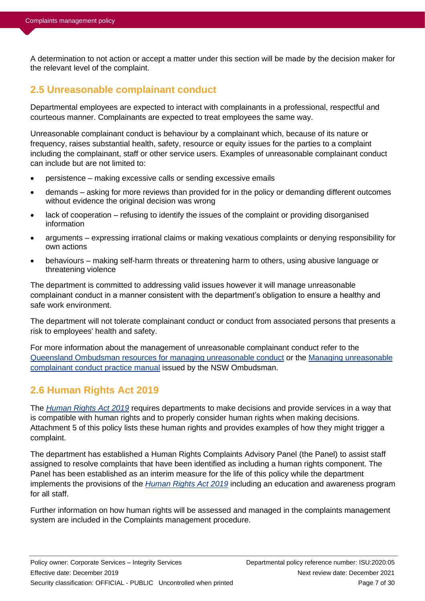A determination to not action or accept a matter under this section will be made by the decision maker for the relevant level of the complaint.

# **2.5 Unreasonable complainant conduct**

Departmental employees are expected to interact with complainants in a professional, respectful and courteous manner. Complainants are expected to treat employees the same way.

Unreasonable complainant conduct is behaviour by a complainant which, because of its nature or frequency, raises substantial health, safety, resource or equity issues for the parties to a complaint including the complainant, staff or other service users. Examples of unreasonable complainant conduct can include but are not limited to:

- persistence making excessive calls or sending excessive emails
- demands asking for more reviews than provided for in the policy or demanding different outcomes without evidence the original decision was wrong
- lack of cooperation refusing to identify the issues of the complaint or providing disorganised information
- arguments expressing irrational claims or making vexatious complaints or denying responsibility for own actions
- behaviours making self-harm threats or threatening harm to others, using abusive language or threatening violence

The department is committed to addressing valid issues however it will manage unreasonable complainant conduct in a manner consistent with the department's obligation to ensure a healthy and safe work environment.

The department will not tolerate complainant conduct or conduct from associated persons that presents a risk to employees' health and safety.

For more information about the management of unreasonable complainant conduct refer to the [Queensland Ombudsman resources for managing unreasonable conduct](https://www.ombudsman.qld.gov.au/improve-public-administration/public-administration-resources/managing-unreasonable-complainant-conduct) or the [Managing unreasonable](http://www.ombudsman.gov.au/__data/assets/pdf_file/0022/35617/GL_Unreasonable-Complainant-Conduct-Manual-2012_LR.pdf)  [complainant conduct practice manual](http://www.ombudsman.gov.au/__data/assets/pdf_file/0022/35617/GL_Unreasonable-Complainant-Conduct-Manual-2012_LR.pdf) issued by the NSW Ombudsman.

# **2.6 Human Rights Act 2019**

The *[Human Rights](https://www.legislation.qld.gov.au/view/html/inforce/current/act-2019-005) Act 2019* requires departments to make decisions and provide services in a way that is compatible with human rights and to properly consider human rights when making decisions. Attachment 5 of this policy lists these human rights and provides examples of how they might trigger a complaint.

The department has established a Human Rights Complaints Advisory Panel (the Panel) to assist staff assigned to resolve complaints that have been identified as including a human rights component. The Panel has been established as an interim measure for the life of this policy while the department implements the provisions of the *[Human Rights Act 2019](https://www.legislation.qld.gov.au/view/html/inforce/current/act-2019-005)* including an education and awareness program for all staff.

Further information on how human rights will be assessed and managed in the complaints management system are included in the Complaints management procedure.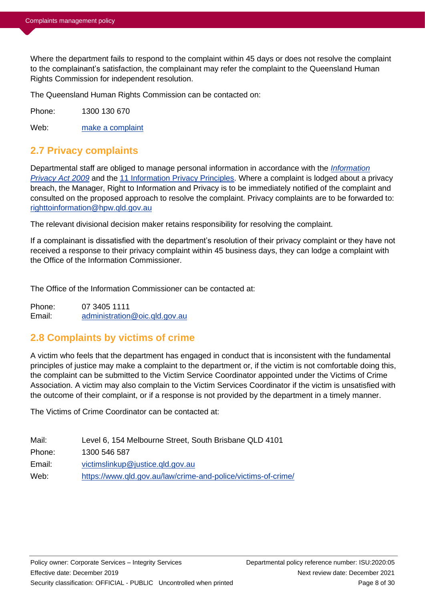Where the department fails to respond to the complaint within 45 days or does not resolve the complaint to the complainant's satisfaction, the complainant may refer the complaint to the Queensland Human Rights Commission for independent resolution.

The Queensland Human Rights Commission can be contacted on:

Phone: 1300 130 670

Web: [make a complaint](https://www.qhrc.qld.gov.au/complaints)

# **2.7 Privacy complaints**

Departmental staff are obliged to manage personal information in accordance with the *[Information](https://www.legislation.qld.gov.au/view/html/inforce/current/act-2009-014)  [Privacy Act 2009](https://www.legislation.qld.gov.au/view/html/inforce/current/act-2009-014)* and the [11 Information Privacy Principles.](https://www.rti.qld.gov.au/information-privacy-act/privacy-principles) Where a complaint is lodged about a privacy breach, the Manager, Right to Information and Privacy is to be immediately notified of the complaint and consulted on the proposed approach to resolve the complaint. Privacy complaints are to be forwarded to: [righttoinformation@hpw.qld.gov.au](mailto:righttoinformation@hpw.qld.gov.au)

The relevant divisional decision maker retains responsibility for resolving the complaint.

If a complainant is dissatisfied with the department's resolution of their privacy complaint or they have not received a response to their privacy complaint within 45 business days, they can lodge a complaint with the Office of the Information Commissioner.

The Office of the Information Commissioner can be contacted at:

Phone: 07 3405 1111 Email: [administration@oic.qld.gov.au](mailto:administration@oic.qld.gov.au)

## **2.8 Complaints by victims of crime**

A victim who feels that the department has engaged in conduct that is inconsistent with the fundamental principles of justice may make a complaint to the department or, if the victim is not comfortable doing this, the complaint can be submitted to the Victim Service Coordinator appointed under the Victims of Crime Association. A victim may also complain to the Victim Services Coordinator if the victim is unsatisfied with the outcome of their complaint, or if a response is not provided by the department in a timely manner.

The Victims of Crime Coordinator can be contacted at:

| Level 6, 154 Melbourne Street, South Brisbane QLD 4101        |
|---------------------------------------------------------------|
| 1300 546 587                                                  |
| victimslinkup@justice.gld.gov.au                              |
| https://www.qld.gov.au/law/crime-and-police/victims-of-crime/ |
|                                                               |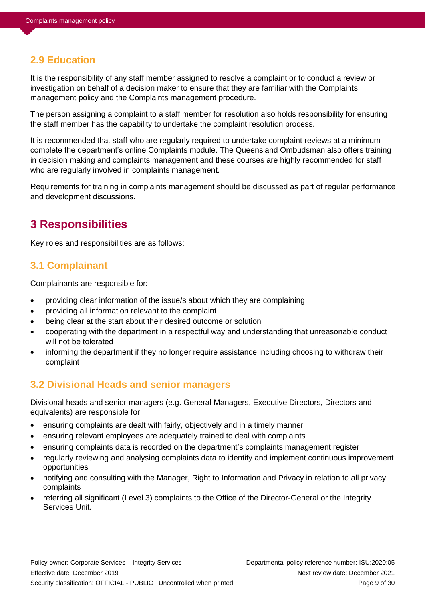## **2.9 Education**

It is the responsibility of any staff member assigned to resolve a complaint or to conduct a review or investigation on behalf of a decision maker to ensure that they are familiar with the Complaints management policy and the Complaints management procedure.

The person assigning a complaint to a staff member for resolution also holds responsibility for ensuring the staff member has the capability to undertake the complaint resolution process.

It is recommended that staff who are regularly required to undertake complaint reviews at a minimum complete the department's online Complaints module. The Queensland Ombudsman also offers training in decision making and complaints management and these courses are highly recommended for staff who are regularly involved in complaints management.

Requirements for training in complaints management should be discussed as part of regular performance and development discussions.

# **3 Responsibilities**

Key roles and responsibilities are as follows:

### **3.1 Complainant**

Complainants are responsible for:

- providing clear information of the issue/s about which they are complaining
- providing all information relevant to the complaint
- being clear at the start about their desired outcome or solution
- cooperating with the department in a respectful way and understanding that unreasonable conduct will not be tolerated
- informing the department if they no longer require assistance including choosing to withdraw their complaint

## **3.2 Divisional Heads and senior managers**

Divisional heads and senior managers (e.g. General Managers, Executive Directors, Directors and equivalents) are responsible for:

- ensuring complaints are dealt with fairly, objectively and in a timely manner
- ensuring relevant employees are adequately trained to deal with complaints
- ensuring complaints data is recorded on the department's complaints management register
- regularly reviewing and analysing complaints data to identify and implement continuous improvement opportunities
- notifying and consulting with the Manager, Right to Information and Privacy in relation to all privacy complaints
- referring all significant (Level 3) complaints to the Office of the Director-General or the Integrity Services Unit.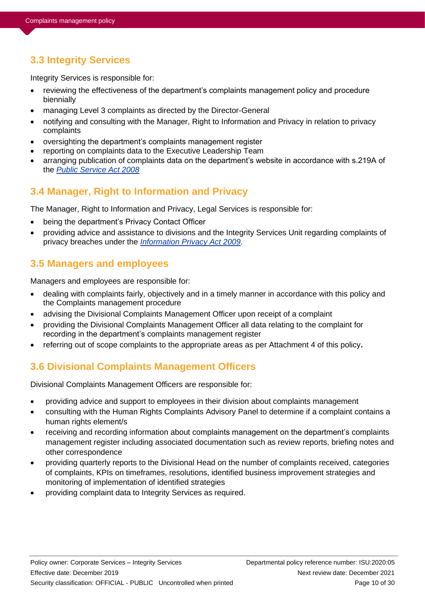# **3.3 Integrity Services**

Integrity Services is responsible for:

- reviewing the effectiveness of the department's complaints management policy and procedure biennially
- managing Level 3 complaints as directed by the Director-General
- notifying and consulting with the Manager, Right to Information and Privacy in relation to privacy complaints
- oversighting the department's complaints management register
- reporting on complaints data to the Executive Leadership Team
- arranging publication of complaints data on the department's website in accordance with s.219A of the *[Public Service Act 2008](https://www.legislation.qld.gov.au/view/html/inforce/current/act-2008-038)*

# **3.4 Manager, Right to Information and Privacy**

The Manager, Right to Information and Privacy, Legal Services is responsible for:

- being the department's Privacy Contact Officer
- providing advice and assistance to divisions and the Integrity Services Unit regarding complaints of privacy breaches under the *[Information Privacy Act 2009](https://www.legislation.qld.gov.au/view/html/inforce/current/act-2009-014)*.

# **3.5 Managers and employees**

Managers and employees are responsible for:

- dealing with complaints fairly, objectively and in a timely manner in accordance with this policy and the Complaints management procedure
- advising the Divisional Complaints Management Officer upon receipt of a complaint
- providing the Divisional Complaints Management Officer all data relating to the complaint for recording in the department's complaints management register
- referring out of scope complaints to the appropriate areas as per Attachment 4 of this policy**.**

# **3.6 Divisional Complaints Management Officers**

Divisional Complaints Management Officers are responsible for:

- providing advice and support to employees in their division about complaints management
- consulting with the Human Rights Complaints Advisory Panel to determine if a complaint contains a human rights element/s
- receiving and recording information about complaints management on the department's complaints management register including associated documentation such as review reports, briefing notes and other correspondence
- providing quarterly reports to the Divisional Head on the number of complaints received, categories of complaints, KPIs on timeframes, resolutions, identified business improvement strategies and monitoring of implementation of identified strategies
- providing complaint data to Integrity Services as required.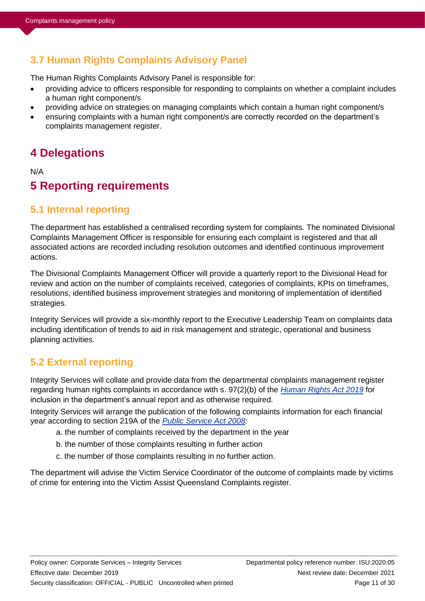# **3.7 Human Rights Complaints Advisory Panel**

The Human Rights Complaints Advisory Panel is responsible for:

- providing advice to officers responsible for responding to complaints on whether a complaint includes a human right component/s
- providing advice on strategies on managing complaints which contain a human right component/s
- ensuring complaints with a human right component/s are correctly recorded on the department's complaints management register.

# **4 Delegations**

N/A

# **5 Reporting requirements**

# **5.1 Internal reporting**

The department has established a centralised recording system for complaints. The nominated Divisional Complaints Management Officer is responsible for ensuring each complaint is registered and that all associated actions are recorded including resolution outcomes and identified continuous improvement actions.

The Divisional Complaints Management Officer will provide a quarterly report to the Divisional Head for review and action on the number of complaints received, categories of complaints, KPIs on timeframes, resolutions, identified business improvement strategies and monitoring of implementation of identified strategies.

Integrity Services will provide a six-monthly report to the Executive Leadership Team on complaints data including identification of trends to aid in risk management and strategic, operational and business planning activities.

# **5.2 External reporting**

Integrity Services will collate and provide data from the departmental complaints management register regarding human rights complaints in accordance with s. 97(2)(b) of the *[Human Rights Act 2019](https://www.legislation.qld.gov.au/view/html/inforce/current/act-2019-005)* for inclusion in the department's annual report and as otherwise required.

Integrity Services will arrange the publication of the following complaints information for each financial year according to section 219A of the *[Public Service Act 2008:](https://www.legislation.qld.gov.au/view/html/inforce/current/act-2008-038)*

- a. the number of complaints received by the department in the year
- b. the number of those complaints resulting in further action
- c. the number of those complaints resulting in no further action.

The department will advise the Victim Service Coordinator of the outcome of complaints made by victims of crime for entering into the Victim Assist Queensland Complaints register.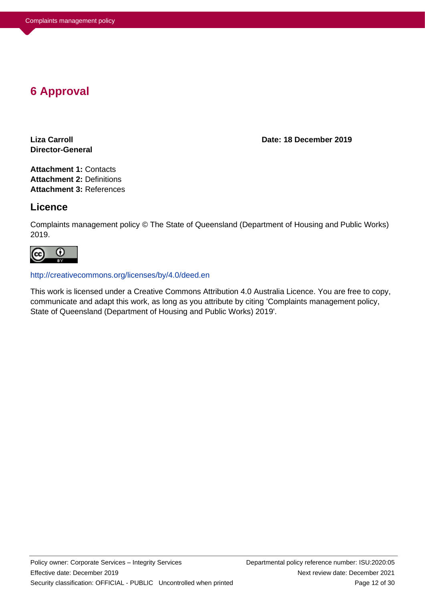# **6 Approval**

**Director-General**

**Liza Carroll Date: 18 December 2019**

**Attachment 1:** Contacts **Attachment 2:** Definitions **Attachment 3:** References

### **Licence**

Complaints management policy © The State of Queensland (Department of Housing and Public Works) 2019.



#### http://creativecommons.org/licenses/by/4.0/deed.en

This work is licensed under a Creative Commons Attribution 4.0 Australia Licence. You are free to copy, communicate and adapt this work, as long as you attribute by citing 'Complaints management policy, State of Queensland (Department of Housing and Public Works) 2019'.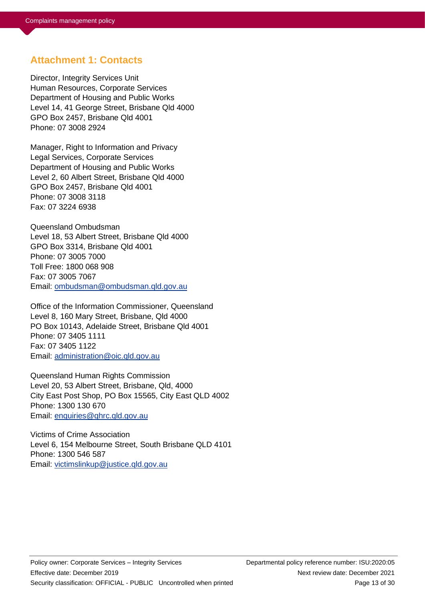### **Attachment 1: Contacts**

Director, Integrity Services Unit Human Resources, Corporate Services Department of Housing and Public Works Level 14, 41 George Street, Brisbane Qld 4000 GPO Box 2457, Brisbane Qld 4001 Phone: 07 3008 2924

Manager, Right to Information and Privacy Legal Services, Corporate Services Department of Housing and Public Works Level 2, 60 Albert Street, Brisbane Qld 4000 GPO Box 2457, Brisbane Qld 4001 Phone: 07 3008 3118 Fax: 07 3224 6938

Queensland Ombudsman Level 18, 53 Albert Street, Brisbane Qld 4000 GPO Box 3314, Brisbane Qld 4001 Phone: 07 3005 7000 Toll Free: 1800 068 908 Fax: 07 3005 7067 Email: [ombudsman@ombudsman.qld.gov.au](mailto:ombudsman@ombudsman.qld.gov.au)

Office of the Information Commissioner, Queensland Level 8, 160 Mary Street, Brisbane, Qld 4000 PO Box 10143, Adelaide Street, Brisbane Qld 4001 Phone: 07 3405 1111 Fax: 07 3405 1122 Email: [administration@oic.qld.gov.au](mailto:administration@oic.qld.gov.au)

Queensland Human Rights Commission Level 20, 53 Albert Street, Brisbane, Qld, 4000 City East Post Shop, PO Box 15565, City East QLD 4002 Phone: 1300 130 670 Email: [enquiries@qhrc.qld.gov.au](mailto:enquiries@qhrc.qld.gov.au)

Victims of Crime Association Level 6, 154 Melbourne Street, South Brisbane QLD 4101 Phone: 1300 546 587 Email: [victimslinkup@justice.qld.gov.au](mailto:victimslinkup@justice.qld.gov.au)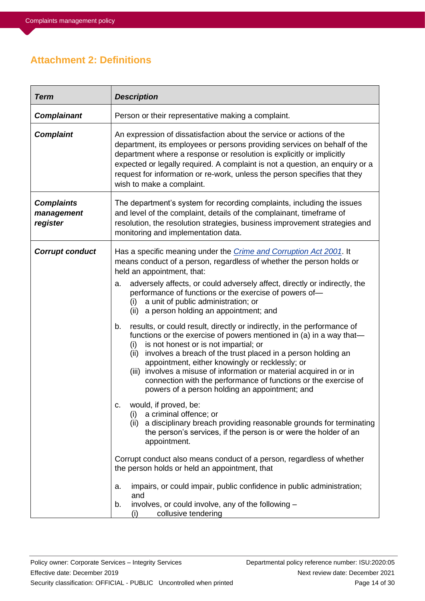# **Attachment 2: Definitions**

| <b>Term</b>                                 | <b>Description</b>                                                                                                                                                                                                                                                                                                                                                                                                                                                                                                                                                                                                                                                                                                                                                                                                                                                                                                                                                                                                                                                                                                                                                                         |  |  |
|---------------------------------------------|--------------------------------------------------------------------------------------------------------------------------------------------------------------------------------------------------------------------------------------------------------------------------------------------------------------------------------------------------------------------------------------------------------------------------------------------------------------------------------------------------------------------------------------------------------------------------------------------------------------------------------------------------------------------------------------------------------------------------------------------------------------------------------------------------------------------------------------------------------------------------------------------------------------------------------------------------------------------------------------------------------------------------------------------------------------------------------------------------------------------------------------------------------------------------------------------|--|--|
| <b>Complainant</b>                          | Person or their representative making a complaint.                                                                                                                                                                                                                                                                                                                                                                                                                                                                                                                                                                                                                                                                                                                                                                                                                                                                                                                                                                                                                                                                                                                                         |  |  |
| <b>Complaint</b>                            | An expression of dissatisfaction about the service or actions of the<br>department, its employees or persons providing services on behalf of the<br>department where a response or resolution is explicitly or implicitly<br>expected or legally required. A complaint is not a question, an enquiry or a<br>request for information or re-work, unless the person specifies that they<br>wish to make a complaint.                                                                                                                                                                                                                                                                                                                                                                                                                                                                                                                                                                                                                                                                                                                                                                        |  |  |
| <b>Complaints</b><br>management<br>register | The department's system for recording complaints, including the issues<br>and level of the complaint, details of the complainant, timeframe of<br>resolution, the resolution strategies, business improvement strategies and<br>monitoring and implementation data.                                                                                                                                                                                                                                                                                                                                                                                                                                                                                                                                                                                                                                                                                                                                                                                                                                                                                                                        |  |  |
| <b>Corrupt conduct</b>                      | Has a specific meaning under the <i>Crime and Corruption Act 2001</i> . It<br>means conduct of a person, regardless of whether the person holds or<br>held an appointment, that:<br>adversely affects, or could adversely affect, directly or indirectly, the<br>a.<br>performance of functions or the exercise of powers of-<br>a unit of public administration; or<br>(i)<br>(ii) a person holding an appointment; and<br>results, or could result, directly or indirectly, in the performance of<br>b.<br>functions or the exercise of powers mentioned in (a) in a way that-<br>is not honest or is not impartial; or<br>(i)<br>involves a breach of the trust placed in a person holding an<br>(ii)<br>appointment, either knowingly or recklessly; or<br>involves a misuse of information or material acquired in or in<br>(iii)<br>connection with the performance of functions or the exercise of<br>powers of a person holding an appointment; and<br>would, if proved, be:<br>C.<br>(i)<br>a criminal offence; or<br>(ii) a disciplinary breach providing reasonable grounds for terminating<br>the person's services, if the person is or were the holder of an<br>appointment. |  |  |
|                                             | Corrupt conduct also means conduct of a person, regardless of whether<br>the person holds or held an appointment, that<br>impairs, or could impair, public confidence in public administration;<br>a.<br>and<br>involves, or could involve, any of the following -<br>b.<br>collusive tendering<br>(i)                                                                                                                                                                                                                                                                                                                                                                                                                                                                                                                                                                                                                                                                                                                                                                                                                                                                                     |  |  |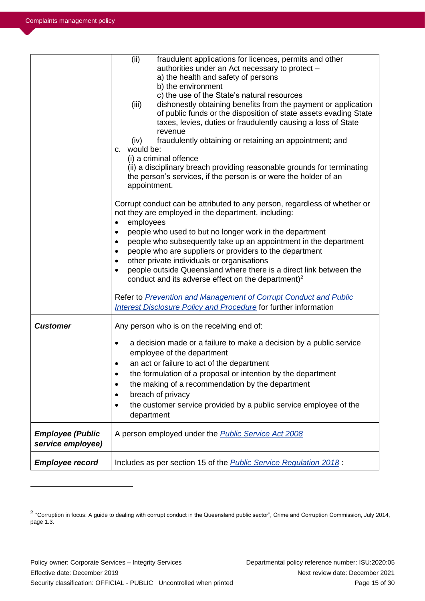|                                              | (ii)<br>fraudulent applications for licences, permits and other<br>authorities under an Act necessary to protect -<br>a) the health and safety of persons<br>b) the environment<br>c) the use of the State's natural resources<br>(iii)<br>dishonestly obtaining benefits from the payment or application<br>of public funds or the disposition of state assets evading State<br>taxes, levies, duties or fraudulently causing a loss of State<br>revenue<br>fraudulently obtaining or retaining an appointment; and<br>(iv)<br>would be:<br>C.<br>(i) a criminal offence<br>(ii) a disciplinary breach providing reasonable grounds for terminating<br>the person's services, if the person is or were the holder of an<br>appointment.<br>Corrupt conduct can be attributed to any person, regardless of whether or<br>not they are employed in the department, including:<br>employees<br>٠<br>people who used to but no longer work in the department<br>$\bullet$<br>people who subsequently take up an appointment in the department<br>$\bullet$<br>people who are suppliers or providers to the department<br>٠<br>other private individuals or organisations<br>$\bullet$<br>people outside Queensland where there is a direct link between the<br>$\bullet$<br>conduct and its adverse effect on the department) <sup>2</sup><br>Refer to <b>Prevention and Management of Corrupt Conduct and Public</b><br>Interest Disclosure Policy and Procedure for further information |
|----------------------------------------------|----------------------------------------------------------------------------------------------------------------------------------------------------------------------------------------------------------------------------------------------------------------------------------------------------------------------------------------------------------------------------------------------------------------------------------------------------------------------------------------------------------------------------------------------------------------------------------------------------------------------------------------------------------------------------------------------------------------------------------------------------------------------------------------------------------------------------------------------------------------------------------------------------------------------------------------------------------------------------------------------------------------------------------------------------------------------------------------------------------------------------------------------------------------------------------------------------------------------------------------------------------------------------------------------------------------------------------------------------------------------------------------------------------------------------------------------------------------------------------------|
| <b>Customer</b>                              | Any person who is on the receiving end of:<br>a decision made or a failure to make a decision by a public service<br>$\bullet$<br>employee of the department<br>an act or failure to act of the department<br>the formulation of a proposal or intention by the department<br>the making of a recommendation by the department<br>$\bullet$<br>breach of privacy<br>٠<br>the customer service provided by a public service employee of the<br>$\bullet$<br>department                                                                                                                                                                                                                                                                                                                                                                                                                                                                                                                                                                                                                                                                                                                                                                                                                                                                                                                                                                                                                  |
| <b>Employee (Public</b><br>service employee) | A person employed under the <b>Public Service Act 2008</b>                                                                                                                                                                                                                                                                                                                                                                                                                                                                                                                                                                                                                                                                                                                                                                                                                                                                                                                                                                                                                                                                                                                                                                                                                                                                                                                                                                                                                             |
| <b>Employee record</b>                       | Includes as per section 15 of the <b>Public Service Regulation 2018</b> :                                                                                                                                                                                                                                                                                                                                                                                                                                                                                                                                                                                                                                                                                                                                                                                                                                                                                                                                                                                                                                                                                                                                                                                                                                                                                                                                                                                                              |

 $^2$  "Corruption in focus: A guide to dealing with corrupt conduct in the Queensland public sector", Crime and Corruption Commission, July 2014, page 1.3.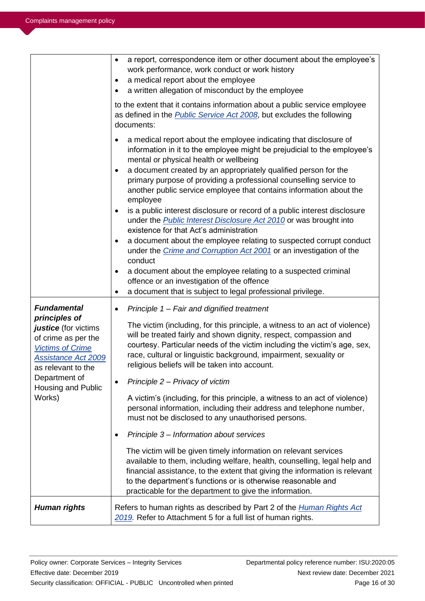|                                                                                                                                                                   | a report, correspondence item or other document about the employee's<br>$\bullet$<br>work performance, work conduct or work history<br>a medical report about the employee<br>$\bullet$<br>a written allegation of misconduct by the employee<br>to the extent that it contains information about a public service employee<br>as defined in the <b>Public Service Act 2008</b> , but excludes the following<br>documents:<br>a medical report about the employee indicating that disclosure of<br>$\bullet$<br>information in it to the employee might be prejudicial to the employee's<br>mental or physical health or wellbeing<br>a document created by an appropriately qualified person for the<br>$\bullet$<br>primary purpose of providing a professional counselling service to<br>another public service employee that contains information about the<br>employee<br>is a public interest disclosure or record of a public interest disclosure<br>under the <b>Public Interest Disclosure Act 2010</b> or was brought into<br>existence for that Act's administration<br>a document about the employee relating to suspected corrupt conduct<br>٠<br>under the <i>Crime and Corruption Act 2001</i> or an investigation of the<br>conduct |
|-------------------------------------------------------------------------------------------------------------------------------------------------------------------|-----------------------------------------------------------------------------------------------------------------------------------------------------------------------------------------------------------------------------------------------------------------------------------------------------------------------------------------------------------------------------------------------------------------------------------------------------------------------------------------------------------------------------------------------------------------------------------------------------------------------------------------------------------------------------------------------------------------------------------------------------------------------------------------------------------------------------------------------------------------------------------------------------------------------------------------------------------------------------------------------------------------------------------------------------------------------------------------------------------------------------------------------------------------------------------------------------------------------------------------------------|
|                                                                                                                                                                   | a document about the employee relating to a suspected criminal<br>٠<br>offence or an investigation of the offence<br>a document that is subject to legal professional privilege.<br>٠                                                                                                                                                                                                                                                                                                                                                                                                                                                                                                                                                                                                                                                                                                                                                                                                                                                                                                                                                                                                                                                               |
| <b>Fundamental</b><br>principles of<br>justice (for victims<br>of crime as per the<br><b>Victims of Crime</b><br><b>Assistance Act 2009</b><br>as relevant to the | Principle 1 - Fair and dignified treatment<br>$\bullet$<br>The victim (including, for this principle, a witness to an act of violence)<br>will be treated fairly and shown dignity, respect, compassion and<br>courtesy. Particular needs of the victim including the victim's age, sex,<br>race, cultural or linguistic background, impairment, sexuality or<br>religious beliefs will be taken into account.                                                                                                                                                                                                                                                                                                                                                                                                                                                                                                                                                                                                                                                                                                                                                                                                                                      |
| Department of<br>Housing and Public<br>Works)                                                                                                                     | Principle 2 - Privacy of victim<br>A victim's (including, for this principle, a witness to an act of violence)<br>personal information, including their address and telephone number,<br>must not be disclosed to any unauthorised persons.<br>Principle 3 - Information about services<br>٠                                                                                                                                                                                                                                                                                                                                                                                                                                                                                                                                                                                                                                                                                                                                                                                                                                                                                                                                                        |
|                                                                                                                                                                   | The victim will be given timely information on relevant services<br>available to them, including welfare, health, counselling, legal help and<br>financial assistance, to the extent that giving the information is relevant<br>to the department's functions or is otherwise reasonable and<br>practicable for the department to give the information.                                                                                                                                                                                                                                                                                                                                                                                                                                                                                                                                                                                                                                                                                                                                                                                                                                                                                             |
| <b>Human rights</b>                                                                                                                                               | Refers to human rights as described by Part 2 of the <i>Human Rights Act</i><br>2019. Refer to Attachment 5 for a full list of human rights.                                                                                                                                                                                                                                                                                                                                                                                                                                                                                                                                                                                                                                                                                                                                                                                                                                                                                                                                                                                                                                                                                                        |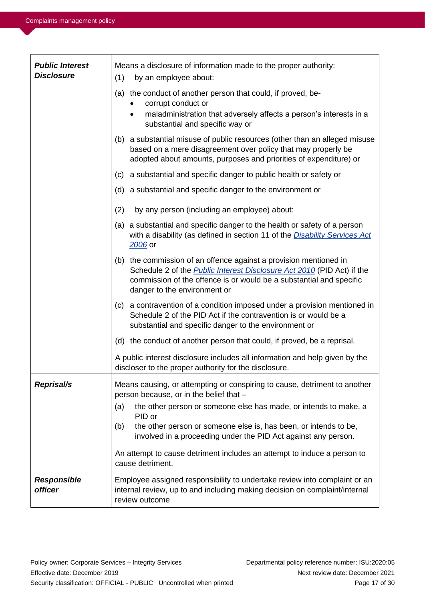| <b>Public Interest</b><br><b>Disclosure</b> | Means a disclosure of information made to the proper authority:<br>(1)<br>by an employee about:                                                                                                                                                           |  |  |
|---------------------------------------------|-----------------------------------------------------------------------------------------------------------------------------------------------------------------------------------------------------------------------------------------------------------|--|--|
|                                             | (a) the conduct of another person that could, if proved, be-<br>corrupt conduct or<br>maladministration that adversely affects a person's interests in a<br>$\bullet$<br>substantial and specific way or                                                  |  |  |
|                                             | (b) a substantial misuse of public resources (other than an alleged misuse<br>based on a mere disagreement over policy that may properly be<br>adopted about amounts, purposes and priorities of expenditure) or                                          |  |  |
|                                             | (c) a substantial and specific danger to public health or safety or                                                                                                                                                                                       |  |  |
|                                             | (d) a substantial and specific danger to the environment or                                                                                                                                                                                               |  |  |
|                                             | (2)<br>by any person (including an employee) about:                                                                                                                                                                                                       |  |  |
|                                             | (a) a substantial and specific danger to the health or safety of a person<br>with a disability (as defined in section 11 of the Disability Services Act<br>2006 or                                                                                        |  |  |
|                                             | (b) the commission of an offence against a provision mentioned in<br>Schedule 2 of the <b>Public Interest Disclosure Act 2010</b> (PID Act) if the<br>commission of the offence is or would be a substantial and specific<br>danger to the environment or |  |  |
|                                             | (c) a contravention of a condition imposed under a provision mentioned in<br>Schedule 2 of the PID Act if the contravention is or would be a<br>substantial and specific danger to the environment or                                                     |  |  |
|                                             | (d) the conduct of another person that could, if proved, be a reprisal.                                                                                                                                                                                   |  |  |
|                                             | A public interest disclosure includes all information and help given by the<br>discloser to the proper authority for the disclosure.                                                                                                                      |  |  |
| <b>Reprisal/s</b>                           | Means causing, or attempting or conspiring to cause, detriment to another<br>person because, or in the belief that -                                                                                                                                      |  |  |
|                                             | (a)<br>the other person or someone else has made, or intends to make, a<br>PID or<br>the other person or someone else is, has been, or intends to be,<br>(b)<br>involved in a proceeding under the PID Act against any person.                            |  |  |
|                                             | An attempt to cause detriment includes an attempt to induce a person to<br>cause detriment.                                                                                                                                                               |  |  |
| <b>Responsible</b><br><b>officer</b>        | Employee assigned responsibility to undertake review into complaint or an<br>internal review, up to and including making decision on complaint/internal<br>review outcome                                                                                 |  |  |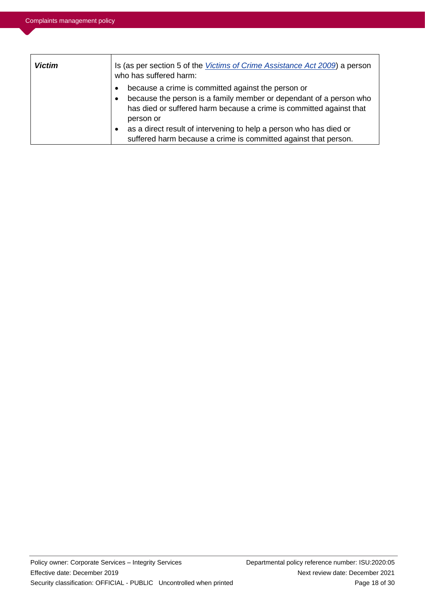| <b>Victim</b> | Is (as per section 5 of the <i>Victims of Crime Assistance Act 2009</i> ) a person<br>who has suffered harm:                                                                                                                                                                                                                                                                                 |  |
|---------------|----------------------------------------------------------------------------------------------------------------------------------------------------------------------------------------------------------------------------------------------------------------------------------------------------------------------------------------------------------------------------------------------|--|
|               | because a crime is committed against the person or<br>$\bullet$<br>because the person is a family member or dependant of a person who<br>$\bullet$<br>has died or suffered harm because a crime is committed against that<br>person or<br>as a direct result of intervening to help a person who has died or<br>$\bullet$<br>suffered harm because a crime is committed against that person. |  |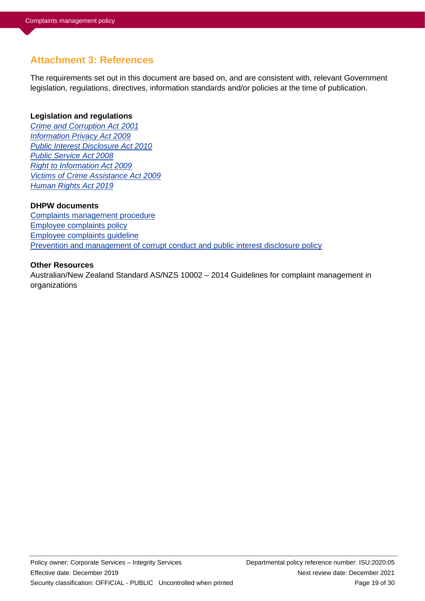# **Attachment 3: References**

The requirements set out in this document are based on, and are consistent with, relevant Government legislation, regulations, directives, information standards and/or policies at the time of publication.

### **Legislation and regulations**

*[Crime and Corruption Act 2001](https://www.legislation.qld.gov.au/view/html/inforce/current/act-2001-069) [Information Privacy Act 2009](https://www.legislation.qld.gov.au/view/html/inforce/current/act-2009-014) [Public Interest Disclosure Act 2010](https://www.legislation.qld.gov.au/view/html/inforce/current/act-2010-038) [Public Service Act 2008](https://www.legislation.qld.gov.au/view/html/inforce/current/act-2008-038) [Right to Information Act 2009](https://www.legislation.qld.gov.au/view/html/inforce/current/act-2009-013) [Victims of Crime Assistance Act 2009](https://www.legislation.qld.gov.au/view/html/inforce/current/act-2009-035) [Human Rights Act 2019](https://www.legislation.qld.gov.au/view/html/inforce/current/act-2019-005)*

### **DHPW documents**

[Complaints management procedure](https://hpwqld.sharepoint.com/sites/intranet/ResourceCentre/PoliciesProcedures/Pages/Integrity.aspx) [Employee complaints policy](https://hpwqld.sharepoint.com/sites/intranet/ResourceCentre/PoliciesProcedures/Pages/HR.aspx) [Employee complaints guideline](https://hpwqld.sharepoint.com/sites/intranet/ResourceCentre/PoliciesProcedures/Pages/HR.aspx) [Prevention and management of corrupt conduct and public interest disclosure policy](https://hpwqld.sharepoint.com/sites/intranet/ResourceCentre/PoliciesProcedures/Pages/Integrity.aspx)

### **Other Resources**

Australian/New Zealand Standard AS/NZS 10002 – 2014 Guidelines for complaint management in organizations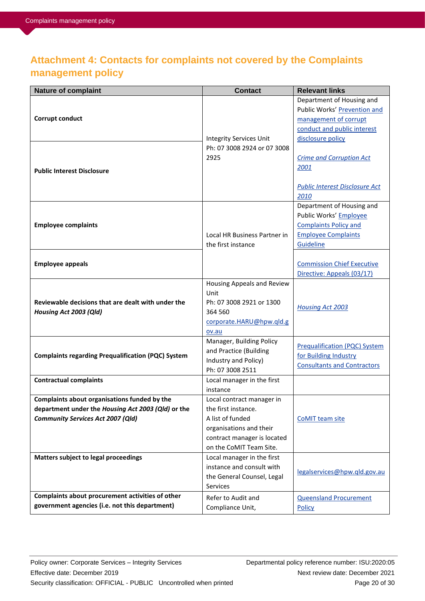# **Attachment 4: Contacts for complaints not covered by the Complaints management policy**

| Nature of complaint                                       | <b>Contact</b>                                         | <b>Relevant links</b>                 |
|-----------------------------------------------------------|--------------------------------------------------------|---------------------------------------|
|                                                           |                                                        | Department of Housing and             |
|                                                           |                                                        | Public Works' Prevention and          |
| Corrupt conduct                                           |                                                        | management of corrupt                 |
|                                                           |                                                        | conduct and public interest           |
|                                                           | <b>Integrity Services Unit</b>                         | disclosure policy                     |
|                                                           | Ph: 07 3008 2924 or 07 3008                            |                                       |
|                                                           | 2925                                                   | <b>Crime and Corruption Act</b>       |
| <b>Public Interest Disclosure</b>                         |                                                        | 2001                                  |
|                                                           |                                                        | <b>Public Interest Disclosure Act</b> |
|                                                           |                                                        | 2010                                  |
|                                                           |                                                        | Department of Housing and             |
|                                                           |                                                        | Public Works' Employee                |
| <b>Employee complaints</b>                                |                                                        | <b>Complaints Policy and</b>          |
|                                                           | Local HR Business Partner in                           | <b>Employee Complaints</b>            |
|                                                           | the first instance                                     | Guideline                             |
|                                                           |                                                        |                                       |
| <b>Employee appeals</b>                                   |                                                        | <b>Commission Chief Executive</b>     |
|                                                           |                                                        | Directive: Appeals (03/17)            |
|                                                           | Housing Appeals and Review                             |                                       |
|                                                           | Unit                                                   |                                       |
| Reviewable decisions that are dealt with under the        | Ph: 07 3008 2921 or 1300<br>364 560                    | <b>Housing Act 2003</b>               |
| Housing Act 2003 (Qld)                                    | corporate.HARU@hpw.qld.g                               |                                       |
|                                                           | ov.au                                                  |                                       |
|                                                           | Manager, Building Policy                               |                                       |
|                                                           | and Practice (Building                                 | <b>Prequalification (PQC) System</b>  |
| <b>Complaints regarding Prequalification (PQC) System</b> | Industry and Policy)                                   | for Building Industry                 |
|                                                           | Ph: 07 3008 2511                                       | <b>Consultants and Contractors</b>    |
| <b>Contractual complaints</b>                             | Local manager in the first                             |                                       |
|                                                           | instance                                               |                                       |
| Complaints about organisations funded by the              | Local contract manager in                              |                                       |
| department under the Housing Act 2003 (Qld) or the        | the first instance.                                    |                                       |
| <b>Community Services Act 2007 (Qld)</b>                  | A list of funded                                       | CoMIT team site                       |
|                                                           | organisations and their                                |                                       |
|                                                           | contract manager is located<br>on the CoMIT Team Site. |                                       |
| Matters subject to legal proceedings                      | Local manager in the first                             |                                       |
|                                                           | instance and consult with                              |                                       |
|                                                           | the General Counsel, Legal                             | legalservices@hpw.qld.gov.au          |
|                                                           | <b>Services</b>                                        |                                       |
| Complaints about procurement activities of other          | Refer to Audit and                                     | <b>Queensland Procurement</b>         |
| government agencies (i.e. not this department)            | Compliance Unit,                                       | Policy                                |
|                                                           |                                                        |                                       |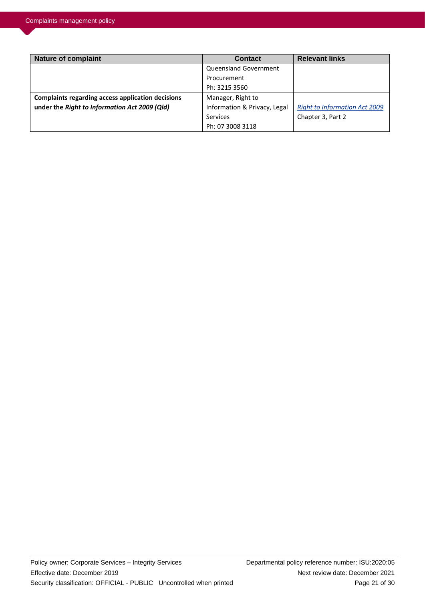| <b>Nature of complaint</b>                               | <b>Contact</b>               | <b>Relevant links</b>                |
|----------------------------------------------------------|------------------------------|--------------------------------------|
|                                                          | Queensland Government        |                                      |
|                                                          | Procurement                  |                                      |
|                                                          | Ph: 3215 3560                |                                      |
| <b>Complaints regarding access application decisions</b> | Manager, Right to            |                                      |
| under the Right to Information Act 2009 (Qld)            | Information & Privacy, Legal | <b>Right to Information Act 2009</b> |
|                                                          | Services                     | Chapter 3, Part 2                    |
|                                                          | Ph: 07 3008 3118             |                                      |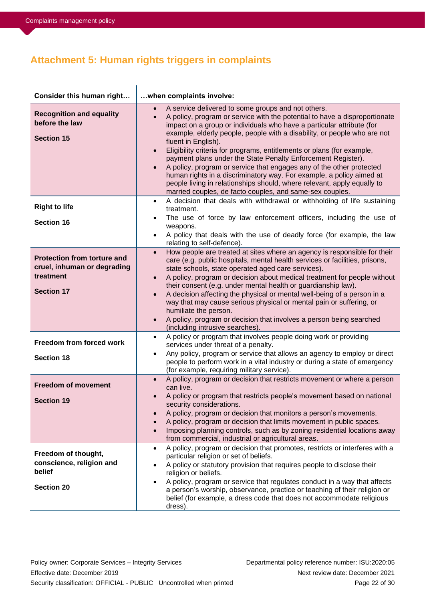# **Attachment 5: Human rights triggers in complaints**

| Consider this human right                                                                           | when complaints involve:                                                                                                                                                                                                                                                                                                                                                                                                                                                                                                                                                                                                                                                                                                                                                             |
|-----------------------------------------------------------------------------------------------------|--------------------------------------------------------------------------------------------------------------------------------------------------------------------------------------------------------------------------------------------------------------------------------------------------------------------------------------------------------------------------------------------------------------------------------------------------------------------------------------------------------------------------------------------------------------------------------------------------------------------------------------------------------------------------------------------------------------------------------------------------------------------------------------|
| <b>Recognition and equality</b><br>before the law<br><b>Section 15</b>                              | A service delivered to some groups and not others.<br>A policy, program or service with the potential to have a disproportionate<br>$\bullet$<br>impact on a group or individuals who have a particular attribute (for<br>example, elderly people, people with a disability, or people who are not<br>fluent in English).<br>Eligibility criteria for programs, entitlements or plans (for example,<br>$\bullet$<br>payment plans under the State Penalty Enforcement Register).<br>A policy, program or service that engages any of the other protected<br>$\bullet$<br>human rights in a discriminatory way. For example, a policy aimed at<br>people living in relationships should, where relevant, apply equally to<br>married couples, de facto couples, and same-sex couples. |
| <b>Right to life</b><br><b>Section 16</b>                                                           | A decision that deals with withdrawal or withholding of life sustaining<br>$\bullet$<br>treatment.<br>The use of force by law enforcement officers, including the use of<br>$\bullet$<br>weapons.<br>A policy that deals with the use of deadly force (for example, the law<br>$\bullet$                                                                                                                                                                                                                                                                                                                                                                                                                                                                                             |
| <b>Protection from torture and</b><br>cruel, inhuman or degrading<br>treatment<br><b>Section 17</b> | relating to self-defence).<br>How people are treated at sites where an agency is responsible for their<br>$\bullet$<br>care (e.g. public hospitals, mental health services or facilities, prisons,<br>state schools, state operated aged care services).<br>A policy, program or decision about medical treatment for people without<br>$\bullet$<br>their consent (e.g. under mental health or guardianship law).<br>A decision affecting the physical or mental well-being of a person in a<br>$\bullet$<br>way that may cause serious physical or mental pain or suffering, or<br>humiliate the person.<br>A policy, program or decision that involves a person being searched<br>$\bullet$<br>(including intrusive searches).                                                    |
| Freedom from forced work<br><b>Section 18</b>                                                       | A policy or program that involves people doing work or providing<br>$\bullet$<br>services under threat of a penalty.<br>Any policy, program or service that allows an agency to employ or direct<br>$\bullet$<br>people to perform work in a vital industry or during a state of emergency<br>(for example, requiring military service).                                                                                                                                                                                                                                                                                                                                                                                                                                             |
| <b>Freedom of movement</b><br><b>Section 19</b>                                                     | A policy, program or decision that restricts movement or where a person<br>$\bullet$<br>can live.<br>A policy or program that restricts people's movement based on national<br>security considerations.<br>A policy, program or decision that monitors a person's movements.<br>A policy, program or decision that limits movement in public spaces.<br>Imposing planning controls, such as by zoning residential locations away<br>from commercial, industrial or agricultural areas.                                                                                                                                                                                                                                                                                               |
| Freedom of thought,<br>conscience, religion and<br>belief<br><b>Section 20</b>                      | A policy, program or decision that promotes, restricts or interferes with a<br>$\bullet$<br>particular religion or set of beliefs.<br>A policy or statutory provision that requires people to disclose their<br>religion or beliefs.<br>A policy, program or service that regulates conduct in a way that affects<br>a person's worship, observance, practice or teaching of their religion or<br>belief (for example, a dress code that does not accommodate religious<br>dress).                                                                                                                                                                                                                                                                                                   |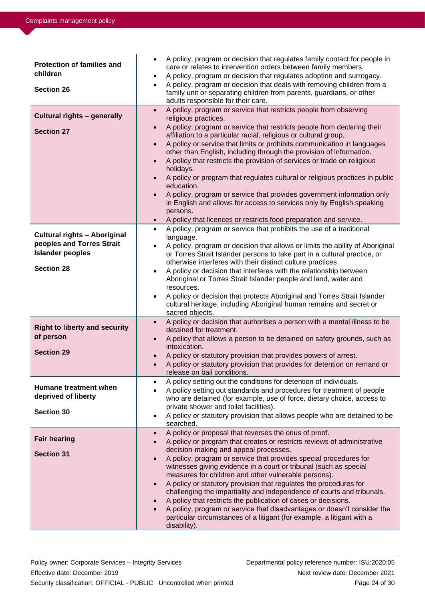| <b>Protection of families and</b><br>children<br><b>Section 26</b>                                               | A policy, program or decision that regulates family contact for people in<br>$\bullet$<br>care or relates to intervention orders between family members.<br>A policy, program or decision that regulates adoption and surrogacy.<br>$\bullet$<br>A policy, program or decision that deals with removing children from a<br>$\bullet$<br>family unit or separating children from parents, guardians, or other<br>adults responsible for their care.                                                                                                                                                                                                                                                                                                                                                                                                                       |
|------------------------------------------------------------------------------------------------------------------|--------------------------------------------------------------------------------------------------------------------------------------------------------------------------------------------------------------------------------------------------------------------------------------------------------------------------------------------------------------------------------------------------------------------------------------------------------------------------------------------------------------------------------------------------------------------------------------------------------------------------------------------------------------------------------------------------------------------------------------------------------------------------------------------------------------------------------------------------------------------------|
| <b>Cultural rights - generally</b><br><b>Section 27</b>                                                          | A policy, program or service that restricts people from observing<br>$\bullet$<br>religious practices.<br>A policy, program or service that restricts people from declaring their<br>$\bullet$<br>affiliation to a particular racial, religious or cultural group.<br>A policy or service that limits or prohibits communication in languages<br>$\bullet$<br>other than English, including through the provision of information.<br>A policy that restricts the provision of services or trade on religious<br>$\bullet$<br>holidays.<br>A policy or program that regulates cultural or religious practices in public<br>education.<br>A policy, program or service that provides government information only<br>in English and allows for access to services only by English speaking<br>persons.<br>A policy that licences or restricts food preparation and service. |
| <b>Cultural rights - Aboriginal</b><br>peoples and Torres Strait<br><b>Islander peoples</b><br><b>Section 28</b> | A policy, program or service that prohibits the use of a traditional<br>$\bullet$<br>language.<br>A policy, program or decision that allows or limits the ability of Aboriginal<br>or Torres Strait Islander persons to take part in a cultural practice, or<br>otherwise interferes with their distinct culture practices.<br>A policy or decision that interferes with the relationship between<br>$\bullet$<br>Aboriginal or Torres Strait Islander people and land, water and<br>resources.<br>A policy or decision that protects Aboriginal and Torres Strait Islander<br>$\bullet$<br>cultural heritage, including Aboriginal human remains and secret or<br>sacred objects.                                                                                                                                                                                       |
| <b>Right to liberty and security</b><br>of person<br><b>Section 29</b>                                           | A policy or decision that authorises a person with a mental illness to be<br>$\bullet$<br>detained for treatment.<br>A policy that allows a person to be detained on safety grounds, such as<br>$\bullet$<br>intoxication.<br>A policy or statutory provision that provides powers of arrest.<br>$\bullet$<br>A policy or statutory provision that provides for detention on remand or<br>$\bullet$<br>release on bail conditions.                                                                                                                                                                                                                                                                                                                                                                                                                                       |
| Humane treatment when<br>deprived of liberty<br><b>Section 30</b>                                                | A policy setting out the conditions for detention of individuals.<br>$\bullet$<br>A policy setting out standards and procedures for treatment of people<br>who are detained (for example, use of force, dietary choice, access to<br>private shower and toilet facilities).<br>A policy or statutory provision that allows people who are detained to be<br>$\bullet$<br>searched.                                                                                                                                                                                                                                                                                                                                                                                                                                                                                       |
| <b>Fair hearing</b><br><b>Section 31</b>                                                                         | A policy or proposal that reverses the onus of proof.<br>$\bullet$<br>A policy or program that creates or restricts reviews of administrative<br>$\bullet$<br>decision-making and appeal processes.<br>A policy, program or service that provides special procedures for<br>$\bullet$<br>witnesses giving evidence in a court or tribunal (such as special<br>measures for children and other vulnerable persons).<br>A policy or statutory provision that regulates the procedures for<br>$\bullet$<br>challenging the impartiality and independence of courts and tribunals.<br>A policy that restricts the publication of cases or decisions.<br>$\bullet$<br>A policy, program or service that disadvantages or doesn't consider the<br>particular circumstances of a litigant (for example, a litigant with a<br>disability).                                       |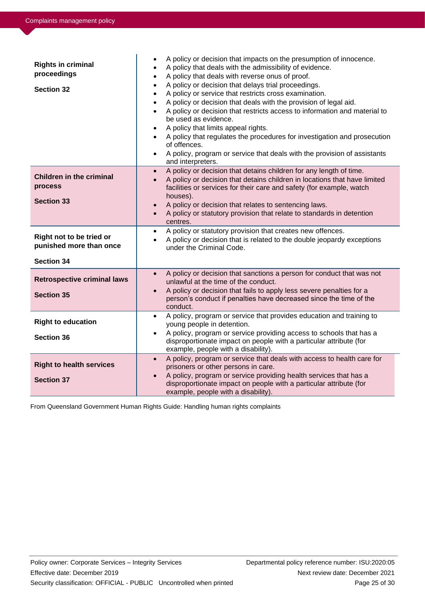| <b>Rights in criminal</b><br>proceedings<br><b>Section 32</b>            | A policy or decision that impacts on the presumption of innocence.<br>$\bullet$<br>A policy that deals with the admissibility of evidence.<br>٠<br>A policy that deals with reverse onus of proof.<br>A policy or decision that delays trial proceedings.<br>A policy or service that restricts cross examination.<br>$\bullet$<br>A policy or decision that deals with the provision of legal aid.<br>$\bullet$<br>A policy or decision that restricts access to information and material to<br>$\bullet$<br>be used as evidence.<br>A policy that limits appeal rights.<br>$\bullet$<br>A policy that regulates the procedures for investigation and prosecution<br>$\bullet$<br>of offences.<br>A policy, program or service that deals with the provision of assistants<br>$\bullet$<br>and interpreters. |
|--------------------------------------------------------------------------|---------------------------------------------------------------------------------------------------------------------------------------------------------------------------------------------------------------------------------------------------------------------------------------------------------------------------------------------------------------------------------------------------------------------------------------------------------------------------------------------------------------------------------------------------------------------------------------------------------------------------------------------------------------------------------------------------------------------------------------------------------------------------------------------------------------|
| <b>Children in the criminal</b><br>process<br><b>Section 33</b>          | A policy or decision that detains children for any length of time.<br>$\bullet$<br>A policy or decision that detains children in locations that have limited<br>$\bullet$<br>facilities or services for their care and safety (for example, watch<br>houses).<br>A policy or decision that relates to sentencing laws.<br>$\bullet$<br>A policy or statutory provision that relate to standards in detention<br>$\bullet$<br>centres.                                                                                                                                                                                                                                                                                                                                                                         |
| Right not to be tried or<br>punished more than once<br><b>Section 34</b> | A policy or statutory provision that creates new offences.<br>$\bullet$<br>A policy or decision that is related to the double jeopardy exceptions<br>$\bullet$<br>under the Criminal Code.                                                                                                                                                                                                                                                                                                                                                                                                                                                                                                                                                                                                                    |
| <b>Retrospective criminal laws</b><br><b>Section 35</b>                  | A policy or decision that sanctions a person for conduct that was not<br>$\bullet$<br>unlawful at the time of the conduct.<br>A policy or decision that fails to apply less severe penalties for a<br>$\bullet$<br>person's conduct if penalties have decreased since the time of the<br>conduct.                                                                                                                                                                                                                                                                                                                                                                                                                                                                                                             |
| <b>Right to education</b><br><b>Section 36</b>                           | A policy, program or service that provides education and training to<br>$\bullet$<br>young people in detention.<br>A policy, program or service providing access to schools that has a<br>$\bullet$<br>disproportionate impact on people with a particular attribute (for<br>example, people with a disability).                                                                                                                                                                                                                                                                                                                                                                                                                                                                                              |
| <b>Right to health services</b><br><b>Section 37</b>                     | A policy, program or service that deals with access to health care for<br>$\bullet$<br>prisoners or other persons in care.<br>A policy, program or service providing health services that has a<br>$\bullet$<br>disproportionate impact on people with a particular attribute (for<br>example, people with a disability).                                                                                                                                                                                                                                                                                                                                                                                                                                                                                     |

From Queensland Government Human Rights Guide: Handling human rights complaints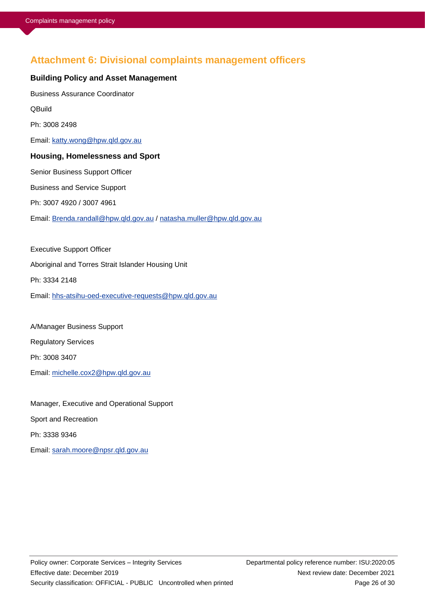## **Attachment 6: Divisional complaints management officers**

#### **Building Policy and Asset Management**

Business Assurance Coordinator

**QBuild** 

Ph: 3008 2498

Email: [katty.wong@hpw.qld.gov.au](mailto:katty.wong@hpw.qld.gov.au)

### **Housing, Homelessness and Sport**

Senior Business Support Officer

Business and Service Support

Ph: 3007 4920 / 3007 4961

Email: [Brenda.randall@hpw.qld.gov.au](mailto:Brenda.randall@hpw.qld.gov.au) / [natasha.muller@hpw.qld.gov.au](mailto:natasha.muller@hpw.qld.gov.au)

Executive Support Officer Aboriginal and Torres Strait Islander Housing Unit Ph: 3334 2148 Email: [hhs-atsihu-oed-executive-requests@hpw.qld.gov.au](mailto:hhs-atsihu-oed-executive-requests@hpw.qld.gov.au)

A/Manager Business Support Regulatory Services Ph: 3008 3407 Email: [michelle.cox2@hpw.qld.gov.au](mailto:michelle.cox2@hpw.qld.gov.au)

Manager, Executive and Operational Support Sport and Recreation Ph: 3338 9346 Email: [sarah.moore@npsr.qld.gov.au](mailto:sarah.moore@npsr.qld.gov.au)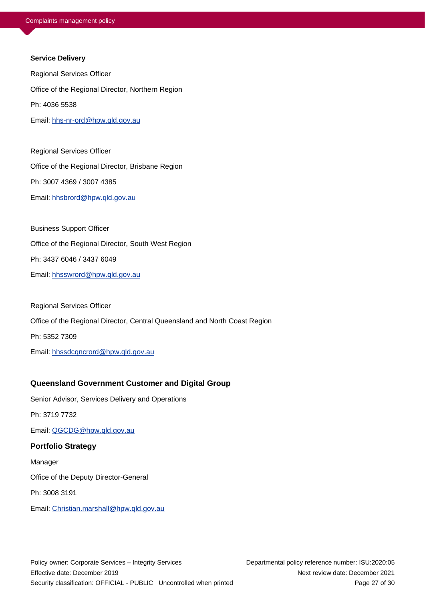#### **Service Delivery**

Regional Services Officer Office of the Regional Director, Northern Region Ph: 4036 5538 Email: [hhs-nr-ord@hpw.qld.gov.au](mailto:hhs-nr-ord@hpw.qld.gov.au)

Regional Services Officer Office of the Regional Director, Brisbane Region Ph: 3007 4369 / 3007 4385 Email: [hhsbrord@hpw.qld.gov.au](mailto:hhsbrord@hpw.qld.gov.au)

Business Support Officer Office of the Regional Director, South West Region Ph: 3437 6046 / 3437 6049 Email: [hhsswrord@hpw.qld.gov.au](mailto:hhsswrord@hpw.qld.gov.au)

Regional Services Officer Office of the Regional Director, Central Queensland and North Coast Region Ph: 5352 7309 Email: [hhssdcqncrord@hpw.qld.gov.au](mailto:Biancia.Abbott@hpw.qld.gov.au)

### **Queensland Government Customer and Digital Group**

Senior Advisor, Services Delivery and Operations

Ph: 3719 7732

Email: [QGCDG@hpw.qld.gov.au](mailto:QGCDG@hpw.qld.gov.au)

#### **Portfolio Strategy**

Manager

Office of the Deputy Director-General

Ph: 3008 3191

Email: [Christian.marshall@hpw.qld.gov.au](mailto:Christian.marshall@hpw.qld.gov.au)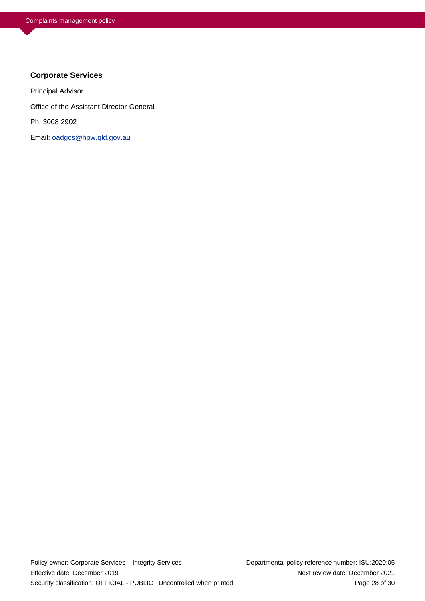### **Corporate Services**

Principal Advisor

Office of the Assistant Director-General

Ph: 3008 2902

Email: [oadgcs@hpw.qld.gov.au](mailto:oadgcs@hpw.qld.gov.au)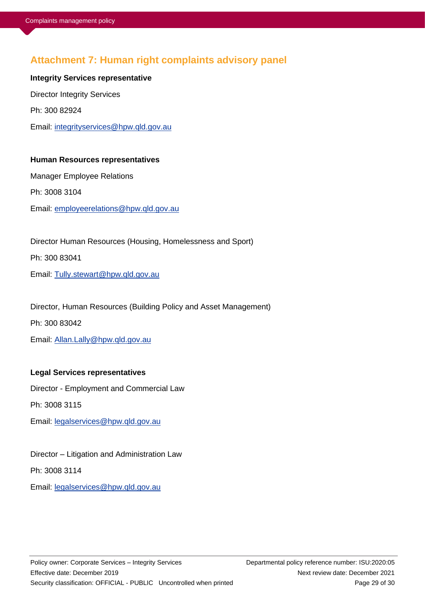# **Attachment 7: Human right complaints advisory panel**

**Integrity Services representative** Director Integrity Services Ph: 300 82924 Email: [integrityservices@hpw.qld.gov.au](mailto:integrityservices@hpw.qld.gov.au)

### **Human Resources representatives**

Manager Employee Relations Ph: 3008 3104 Email: [employeerelations@hpw.qld.gov.au](mailto:employeerelations@hpw.qld.gov.au)

Director Human Resources (Housing, Homelessness and Sport) Ph: 300 83041 Email: [Tully.stewart@hpw.qld.gov.au](mailto:Tully.stewart@hpw.qld.gov.au)

Director, Human Resources (Building Policy and Asset Management) Ph: 300 83042 Email: [Allan.Lally@hpw.qld.gov.au](mailto:Allan.Lally@hpw.qld.gov.au)

### **Legal Services representatives**

Director - Employment and Commercial Law

Ph: 3008 3115

Email: [legalservices@hpw.qld.gov.au](mailto:legalservices@hpw.qld.gov.au)

Director – Litigation and Administration Law

Ph: 3008 3114

Email: [legalservices@hpw.qld.gov.au](mailto:legalservices@hpw.qld.gov.au)